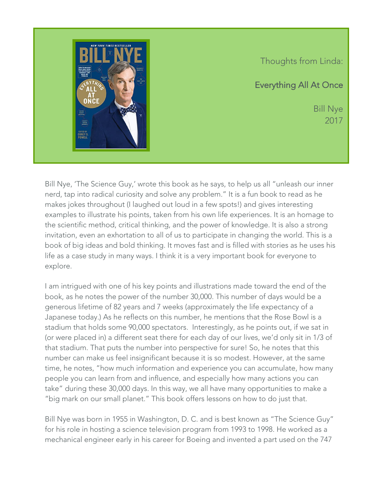

Thoughts from Linda:

Everything All At Once

Bill Nye 2017

Bill Nye, 'The Science Guy,' wrote this book as he says, to help us all "unleash our inner nerd, tap into radical curiosity and solve any problem." It is a fun book to read as he makes jokes throughout (I laughed out loud in a few spots!) and gives interesting examples to illustrate his points, taken from his own life experiences. It is an homage to the scientific method, critical thinking, and the power of knowledge. It is also a strong invitation, even an exhortation to all of us to participate in changing the world. This is a book of big ideas and bold thinking. It moves fast and is filled with stories as he uses his life as a case study in many ways. I think it is a very important book for everyone to explore.

I am intrigued with one of his key points and illustrations made toward the end of the book, as he notes the power of the number 30,000. This number of days would be a generous lifetime of 82 years and 7 weeks (approximately the life expectancy of a Japanese today.) As he reflects on this number, he mentions that the Rose Bowl is a stadium that holds some 90,000 spectators. Interestingly, as he points out, if we sat in (or were placed in) a different seat there for each day of our lives, we'd only sit in 1/3 of that stadium. That puts the number into perspective for sure! So, he notes that this number can make us feel insignificant because it is so modest. However, at the same time, he notes, "how much information and experience you can accumulate, how many people you can learn from and influence, and especially how many actions you can take" during these 30,000 days. In this way, we all have many opportunities to make a "big mark on our small planet." This book offers lessons on how to do just that.

Bill Nye was born in 1955 in Washington, D. C. and is best known as "The Science Guy" for his role in hosting a science television program from 1993 to 1998. He worked as a mechanical engineer early in his career for Boeing and invented a part used on the 747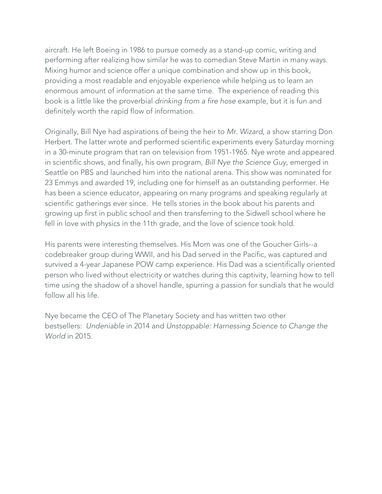aircraft. He left Boeing in 1986 to pursue comedy as a stand-up comic, writing and performing after realizing how similar he was to comedian Steve Martin in many ways. Mixing humor and science offer a unique combination and show up in this book, providing a most readable and enjoyable experience while helping us to learn an enormous amount of information at the same time. The experience of reading this book is a little like the proverbial *drinking from a fire hose* example, but it is fun and definitely worth the rapid flow of information.

Originally, Bill Nye had aspirations of being the heir to *Mr. Wizard*, a show starring Don Herbert. The latter wrote and performed scientific experiments every Saturday morning in a 30-minute program that ran on television from 1951-1965. Nye wrote and appeared in scientific shows, and finally, his own program, *Bill Nye the Science Guy*, emerged in Seattle on PBS and launched him into the national arena. This show was nominated for 23 Emmys and awarded 19, including one for himself as an outstanding performer. He has been a science educator, appearing on many programs and speaking regularly at scientific gatherings ever since. He tells stories in the book about his parents and growing up first in public school and then transferring to the Sidwell school where he fell in love with physics in the 11th grade, and the love of science took hold.

His parents were interesting themselves. His Mom was one of the Goucher Girls--a codebreaker group during WWII, and his Dad served in the Pacific, was captured and survived a 4-year Japanese POW camp experience. His Dad was a scientifically oriented person who lived without electricity or watches during this captivity, learning how to tell time using the shadow of a shovel handle, spurring a passion for sundials that he would follow all his life.

Nye became the CEO of The Planetary Society and has written two other bestsellers: *Undeniable* in 2014 and *Unstoppable: Harnessing Science to Change the World* in 2015.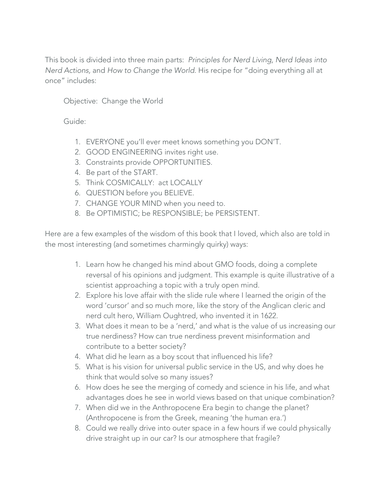This book is divided into three main parts: *Principles for Nerd Living, Nerd Ideas into Nerd Actions,* and *How to Change the World*. His recipe for "doing everything all at once" includes:

Objective: Change the World

Guide:

- 1. EVERYONE you'll ever meet knows something you DON'T.
- 2. GOOD ENGINEERING invites right use.
- 3. Constraints provide OPPORTUNITIES.
- 4. Be part of the START.
- 5. Think COSMICALLY: act LOCALLY
- 6. QUESTION before you BELIEVE.
- 7. CHANGE YOUR MIND when you need to.
- 8. Be OPTIMISTIC; be RESPONSIBLE; be PERSISTENT.

Here are a few examples of the wisdom of this book that I loved, which also are told in the most interesting (and sometimes charmingly quirky) ways:

- 1. Learn how he changed his mind about GMO foods, doing a complete reversal of his opinions and judgment. This example is quite illustrative of a scientist approaching a topic with a truly open mind.
- 2. Explore his love affair with the slide rule where I learned the origin of the word 'cursor' and so much more, like the story of the Anglican cleric and nerd cult hero, William Oughtred, who invented it in 1622.
- 3. What does it mean to be a 'nerd,' and what is the value of us increasing our true nerdiness? How can true nerdiness prevent misinformation and contribute to a better society?
- 4. What did he learn as a boy scout that influenced his life?
- 5. What is his vision for universal public service in the US, and why does he think that would solve so many issues?
- 6. How does he see the merging of comedy and science in his life, and what advantages does he see in world views based on that unique combination?
- 7. When did we in the Anthropocene Era begin to change the planet? (Anthropocene is from the Greek, meaning 'the human era.')
- 8. Could we really drive into outer space in a few hours if we could physically drive straight up in our car? Is our atmosphere that fragile?